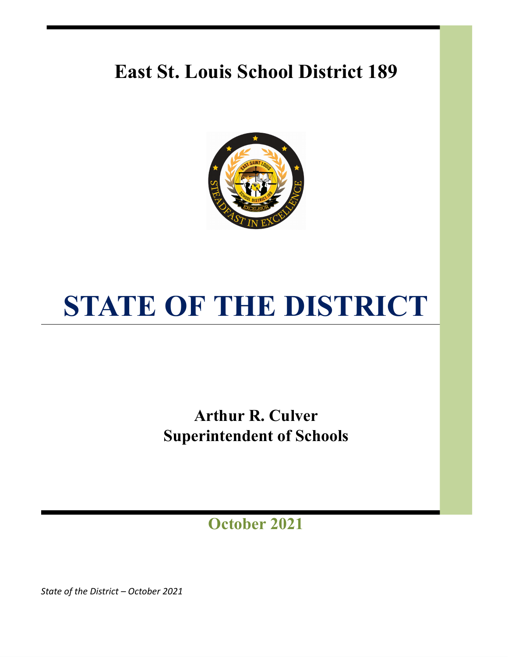## **East St. Louis School District 189**



# **STATE OF THE DISTRICT**

**Arthur R. Culver Superintendent of Schools**

**October 2021**

*State of the District – October 2021*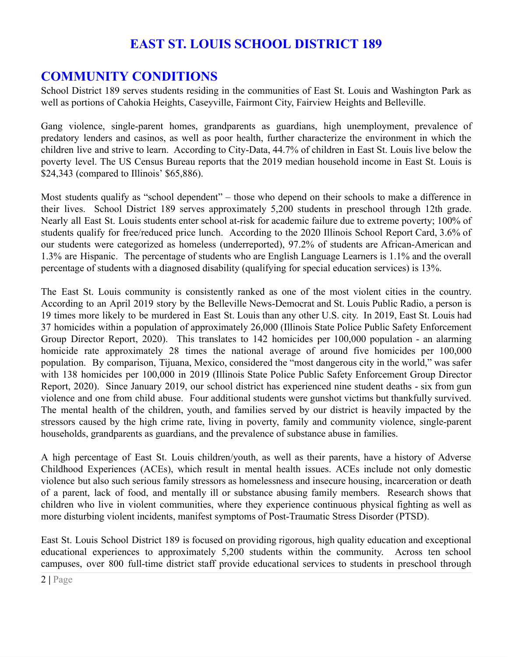## **EAST ST. LOUIS SCHOOL DISTRICT 189**

## **COMMUNITY CONDITIONS**

School District 189 serves students residing in the communities of East St. Louis and Washington Park as well as portions of Cahokia Heights, Caseyville, Fairmont City, Fairview Heights and Belleville.

Gang violence, single-parent homes, grandparents as guardians, high unemployment, prevalence of predatory lenders and casinos, as well as poor health, further characterize the environment in which the children live and strive to learn. According to City-Data, 44.7% of children in East St. Louis live below the poverty level. The US Census Bureau reports that the 2019 median household income in East St. Louis is \$24,343 (compared to Illinois' \$65,886).

Most students qualify as "school dependent" – those who depend on their schools to make a difference in their lives. School District 189 serves approximately 5,200 students in preschool through 12th grade. Nearly all East St. Louis students enter school at-risk for academic failure due to extreme poverty; 100% of students qualify for free/reduced price lunch. According to the 2020 Illinois School Report Card, 3.6% of our students were categorized as homeless (underreported), 97.2% of students are African-American and 1.3% are Hispanic. The percentage of students who are English Language Learners is 1.1% and the overall percentage of students with a diagnosed disability (qualifying for special education services) is 13%.

The East St. Louis community is consistently ranked as one of the most violent cities in the country. According to an April 2019 story by the Belleville News-Democrat and St. Louis Public Radio, a person is 19 times more likely to be murdered in East St. Louis than any other U.S. city. In 2019, East St. Louis had 37 homicides within a population of approximately 26,000 (Illinois State Police Public Safety Enforcement Group Director Report, 2020). This translates to 142 homicides per 100,000 population - an alarming homicide rate approximately 28 times the national average of around five homicides per 100,000 population. By comparison, Tijuana, Mexico, considered the "most dangerous city in the world," was safer with 138 homicides per 100,000 in 2019 (Illinois State Police Public Safety Enforcement Group Director Report, 2020). Since January 2019, our school district has experienced nine student deaths - six from gun violence and one from child abuse. Four additional students were gunshot victims but thankfully survived. The mental health of the children, youth, and families served by our district is heavily impacted by the stressors caused by the high crime rate, living in poverty, family and community violence, single-parent households, grandparents as guardians, and the prevalence of substance abuse in families.

A high percentage of East St. Louis children/youth, as well as their parents, have a history of Adverse Childhood Experiences (ACEs), which result in mental health issues. ACEs include not only domestic violence but also such serious family stressors as homelessness and insecure housing, incarceration or death of a parent, lack of food, and mentally ill or substance abusing family members. Research shows that children who live in violent communities, where they experience continuous physical fighting as well as more disturbing violent incidents, manifest symptoms of Post-Traumatic Stress Disorder (PTSD).

East St. Louis School District 189 is focused on providing rigorous, high quality education and exceptional educational experiences to approximately 5,200 students within the community. Across ten school campuses, over 800 full-time district staff provide educational services to students in preschool through

<sup>2</sup> **|** Page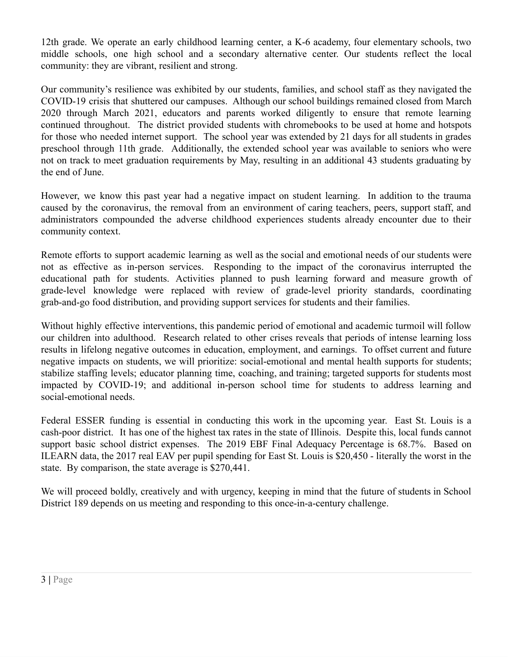12th grade. We operate an early childhood learning center, a K-6 academy, four elementary schools, two middle schools, one high school and a secondary alternative center. Our students reflect the local community: they are vibrant, resilient and strong.

Our community's resilience was exhibited by our students, families, and school staff as they navigated the COVID-19 crisis that shuttered our campuses. Although our school buildings remained closed from March 2020 through March 2021, educators and parents worked diligently to ensure that remote learning continued throughout. The district provided students with chromebooks to be used at home and hotspots for those who needed internet support. The school year was extended by 21 days for all students in grades preschool through 11th grade. Additionally, the extended school year was available to seniors who were not on track to meet graduation requirements by May, resulting in an additional 43 students graduating by the end of June.

However, we know this past year had a negative impact on student learning. In addition to the trauma caused by the coronavirus, the removal from an environment of caring teachers, peers, support staff, and administrators compounded the adverse childhood experiences students already encounter due to their community context.

Remote efforts to support academic learning as well as the social and emotional needs of our students were not as effective as in-person services. Responding to the impact of the coronavirus interrupted the educational path for students. Activities planned to push learning forward and measure growth of grade-level knowledge were replaced with review of grade-level priority standards, coordinating grab-and-go food distribution, and providing support services for students and their families.

Without highly effective interventions, this pandemic period of emotional and academic turmoil will follow our children into adulthood. Research related to other crises reveals that periods of intense learning loss results in lifelong negative outcomes in education, employment, and earnings. To offset current and future negative impacts on students, we will prioritize: social-emotional and mental health supports for students; stabilize staffing levels; educator planning time, coaching, and training; targeted supports for students most impacted by COVID-19; and additional in-person school time for students to address learning and social-emotional needs.

Federal ESSER funding is essential in conducting this work in the upcoming year. East St. Louis is a cash-poor district. It has one of the highest tax rates in the state of Illinois. Despite this, local funds cannot support basic school district expenses. The 2019 EBF Final Adequacy Percentage is 68.7%. Based on ILEARN data, the 2017 real EAV per pupil spending for East St. Louis is \$20,450 - literally the worst in the state. By comparison, the state average is \$270,441.

We will proceed boldly, creatively and with urgency, keeping in mind that the future of students in School District 189 depends on us meeting and responding to this once-in-a-century challenge.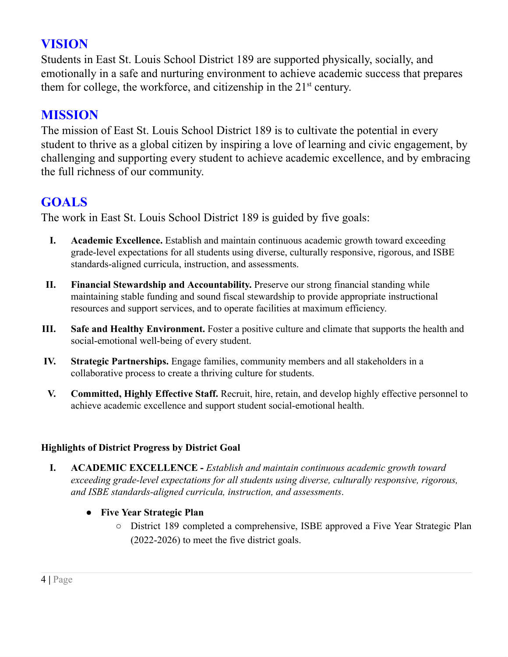## **VISION**

Students in East St. Louis School District 189 are supported physically, socially, and emotionally in a safe and nurturing environment to achieve academic success that prepares them for college, the workforce, and citizenship in the  $21<sup>st</sup>$  century.

## **MISSION**

The mission of East St. Louis School District 189 is to cultivate the potential in every student to thrive as a global citizen by inspiring a love of learning and civic engagement, by challenging and supporting every student to achieve academic excellence, and by embracing the full richness of our community.

## **GOALS**

The work in East St. Louis School District 189 is guided by five goals:

- **I. Academic Excellence.** Establish and maintain continuous academic growth toward exceeding grade-level expectations for all students using diverse, culturally responsive, rigorous, and ISBE standards-aligned curricula, instruction, and assessments.
- **II. Financial Stewardship and Accountability.** Preserve our strong financial standing while maintaining stable funding and sound fiscal stewardship to provide appropriate instructional resources and support services, and to operate facilities at maximum efficiency.
- **III. Safe and Healthy Environment.** Foster a positive culture and climate that supports the health and social-emotional well-being of every student.
- **IV. Strategic Partnerships.** Engage families, community members and all stakeholders in a collaborative process to create a thriving culture for students.
- **V. Committed, Highly Effective Staff.** Recruit, hire, retain, and develop highly effective personnel to achieve academic excellence and support student social-emotional health.

#### **Highlights of District Progress by District Goal**

**I. ACADEMIC EXCELLENCE -** *Establish and maintain continuous academic growth toward exceeding grade-level expectations for all students using diverse, culturally responsive, rigorous, and ISBE standards-aligned curricula, instruction, and assessments*.

#### **● Five Year Strategic Plan**

○ District 189 completed a comprehensive, ISBE approved a Five Year Strategic Plan (2022-2026) to meet the five district goals.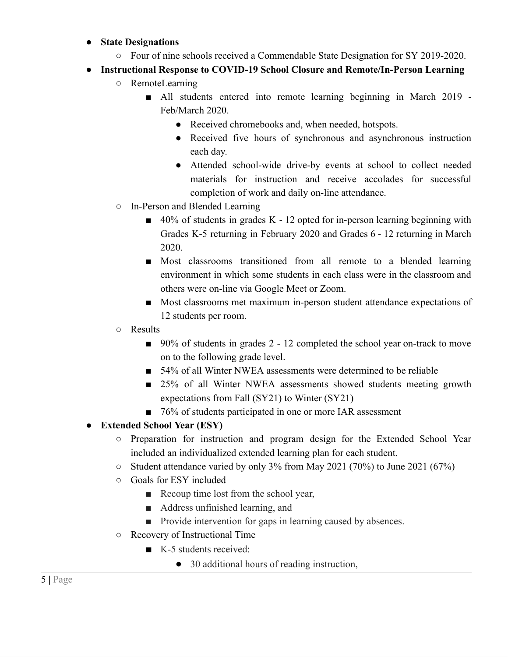#### **● State Designations**

- Four of nine schools received a Commendable State Designation for SY 2019-2020.
- **● Instructional Response to COVID-19 School Closure and Remote/In-Person Learning**
	- RemoteLearning
		- All students entered into remote learning beginning in March 2019 -Feb/March 2020.
			- Received chromebooks and, when needed, hotspots.
			- Received five hours of synchronous and asynchronous instruction each day.
			- Attended school-wide drive-by events at school to collect needed materials for instruction and receive accolades for successful completion of work and daily on-line attendance.
	- In-Person and Blended Learning
		- 40% of students in grades K 12 opted for in-person learning beginning with Grades K-5 returning in February 2020 and Grades 6 - 12 returning in March 2020.
		- Most classrooms transitioned from all remote to a blended learning environment in which some students in each class were in the classroom and others were on-line via Google Meet or Zoom.
		- Most classrooms met maximum in-person student attendance expectations of 12 students per room.
	- Results
		- 90% of students in grades 2 12 completed the school year on-track to move on to the following grade level.
		- 54% of all Winter NWEA assessments were determined to be reliable
		- 25% of all Winter NWEA assessments showed students meeting growth expectations from Fall (SY21) to Winter (SY21)
		- 76% of students participated in one or more IAR assessment

#### **● Extended School Year (ESY)**

- Preparation for instruction and program design for the Extended School Year included an individualized extended learning plan for each student.
- Student attendance varied by only 3% from May 2021 (70%) to June 2021 (67%)
- Goals for ESY included
	- Recoup time lost from the school year,
	- Address unfinished learning, and
	- Provide intervention for gaps in learning caused by absences.
- Recovery of Instructional Time
	- K-5 students received:
		- 30 additional hours of reading instruction,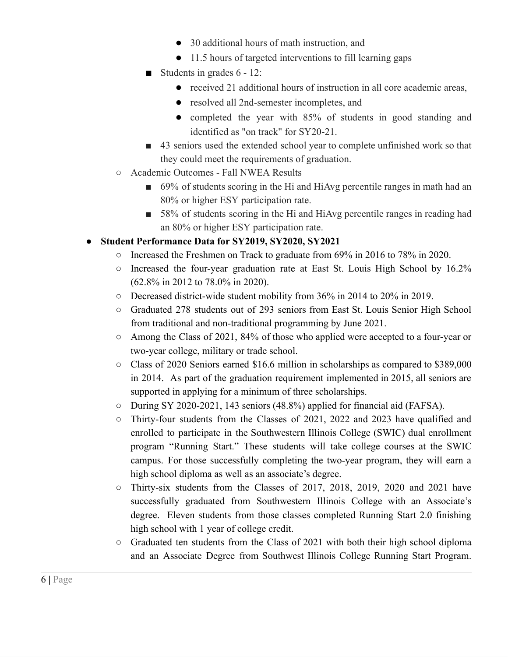- 30 additional hours of math instruction, and
- 11.5 hours of targeted interventions to fill learning gaps
- Students in grades 6 12:
	- received 21 additional hours of instruction in all core academic areas,
	- resolved all 2nd-semester incompletes, and
	- completed the year with 85% of students in good standing and identified as "on track" for SY20-21.
- 43 seniors used the extended school year to complete unfinished work so that they could meet the requirements of graduation.
- Academic Outcomes Fall NWEA Results
	- 69% of students scoring in the Hi and HiAvg percentile ranges in math had an 80% or higher ESY participation rate.
	- 58% of students scoring in the Hi and HiAvg percentile ranges in reading had an 80% or higher ESY participation rate.

#### **● Student Performance Data for SY2019, SY2020, SY2021**

- Increased the Freshmen on Track to graduate from 69% in 2016 to 78% in 2020.
- Increased the four-year graduation rate at East St. Louis High School by 16.2% (62.8% in 2012 to 78.0% in 2020).
- Decreased district-wide student mobility from 36% in 2014 to 20% in 2019.
- Graduated 278 students out of 293 seniors from East St. Louis Senior High School from traditional and non-traditional programming by June 2021.
- Among the Class of 2021, 84% of those who applied were accepted to a four-year or two-year college, military or trade school.
- Class of 2020 Seniors earned \$16.6 million in scholarships as compared to \$389,000 in 2014. As part of the graduation requirement implemented in 2015, all seniors are supported in applying for a minimum of three scholarships.
- During SY 2020-2021, 143 seniors (48.8%) applied for financial aid (FAFSA).
- Thirty-four students from the Classes of 2021, 2022 and 2023 have qualified and enrolled to participate in the Southwestern Illinois College (SWIC) dual enrollment program "Running Start." These students will take college courses at the SWIC campus. For those successfully completing the two-year program, they will earn a high school diploma as well as an associate's degree.
- Thirty-six students from the Classes of 2017, 2018, 2019, 2020 and 2021 have successfully graduated from Southwestern Illinois College with an Associate's degree. Eleven students from those classes completed Running Start 2.0 finishing high school with 1 year of college credit.
- Graduated ten students from the Class of 2021 with both their high school diploma and an Associate Degree from Southwest Illinois College Running Start Program.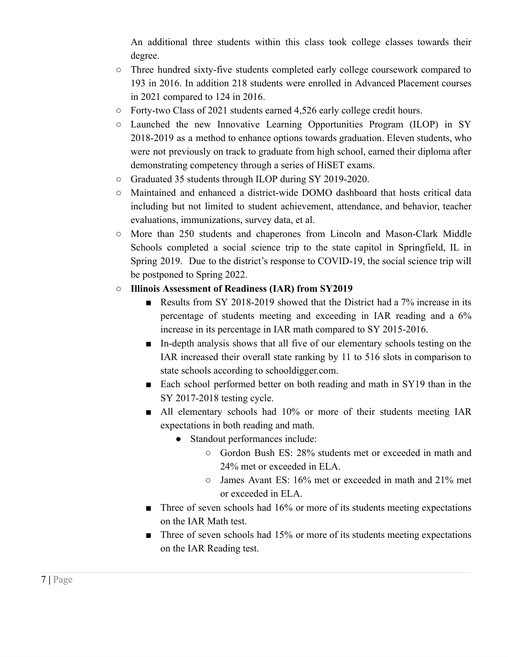An additional three students within this class took college classes towards their degree.

- Three hundred sixty-five students completed early college coursework compared to 193 in 2016. In addition 218 students were enrolled in Advanced Placement courses in 2021 compared to 124 in 2016.
- Forty-two Class of 2021 students earned 4,526 early college credit hours.
- Launched the new Innovative Learning Opportunities Program (ILOP) in SY 2018-2019 as a method to enhance options towards graduation. Eleven students, who were not previously on track to graduate from high school, earned their diploma after demonstrating competency through a series of HiSET exams.
- Graduated 35 students through ILOP during SY 2019-2020.
- Maintained and enhanced a district-wide DOMO dashboard that hosts critical data including but not limited to student achievement, attendance, and behavior, teacher evaluations, immunizations, survey data, et al.
- More than 250 students and chaperones from Lincoln and Mason-Clark Middle Schools completed a social science trip to the state capitol in Springfield, IL in Spring 2019. Due to the district's response to COVID-19, the social science trip will be postponed to Spring 2022.
- **○ Illinois Assessment of Readiness (IAR) from SY2019**
	- Results from SY 2018-2019 showed that the District had a 7% increase in its percentage of students meeting and exceeding in IAR reading and a 6% increase in its percentage in IAR math compared to SY 2015-2016.
	- In-depth analysis shows that all five of our elementary schools testing on the IAR increased their overall state ranking by 11 to 516 slots in comparison to state schools according to schooldigger.com.
	- Each school performed better on both reading and math in SY19 than in the SY 2017-2018 testing cycle.
	- All elementary schools had 10% or more of their students meeting IAR expectations in both reading and math.
		- Standout performances include:
			- Gordon Bush ES: 28% students met or exceeded in math and 24% met or exceeded in ELA.
			- James Avant ES: 16% met or exceeded in math and 21% met or exceeded in ELA.
	- $\blacksquare$  Three of seven schools had 16% or more of its students meeting expectations on the IAR Math test.
	- Three of seven schools had 15% or more of its students meeting expectations on the IAR Reading test.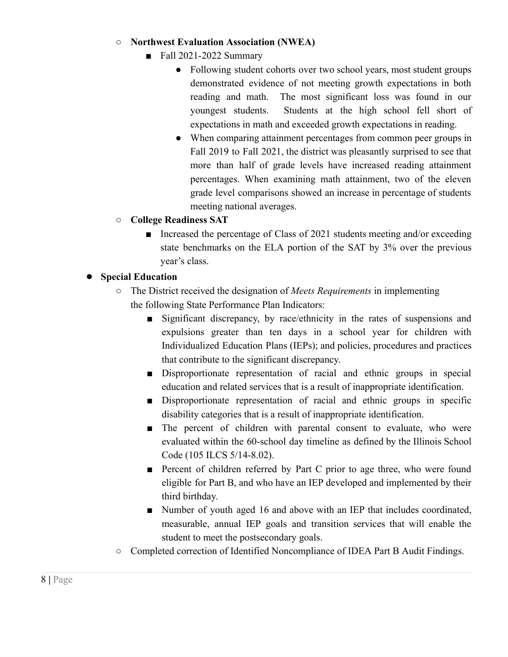#### **○ Northwest Evaluation Association (NWEA)**

- Fall 2021-2022 Summary
	- Following student cohorts over two school years, most student groups demonstrated evidence of not meeting growth expectations in both reading and math. The most significant loss was found in our youngest students. Students at the high school fell short of expectations in math and exceeded growth expectations in reading.
	- When comparing attainment percentages from common peer groups in Fall 2019 to Fall 2021, the district was pleasantly surprised to see that more than half of grade levels have increased reading attainment percentages. When examining math attainment, two of the eleven grade level comparisons showed an increase in percentage of students meeting national averages.
- **○ College Readiness SAT**
	- Increased the percentage of Class of 2021 students meeting and/or exceeding state benchmarks on the ELA portion of the SAT by 3% over the previous year's class.

#### **● Special Education**

- The District received the designation of *Meets Requirements* in implementing the following State Performance Plan Indicators:
	- Significant discrepancy, by race/ethnicity in the rates of suspensions and expulsions greater than ten days in a school year for children with Individualized Education Plans (IEPs); and policies, procedures and practices that contribute to the significant discrepancy.
	- Disproportionate representation of racial and ethnic groups in special education and related services that is a result of inappropriate identification.
	- Disproportionate representation of racial and ethnic groups in specific disability categories that is a result of inappropriate identification.
	- The percent of children with parental consent to evaluate, who were evaluated within the 60-school day timeline as defined by the Illinois School Code (105 ILCS 5/14-8.02).
	- Percent of children referred by Part C prior to age three, who were found eligible for Part B, and who have an IEP developed and implemented by their third birthday.
	- Number of youth aged 16 and above with an IEP that includes coordinated, measurable, annual IEP goals and transition services that will enable the student to meet the postsecondary goals.
- Completed correction of Identified Noncompliance of IDEA Part B Audit Findings.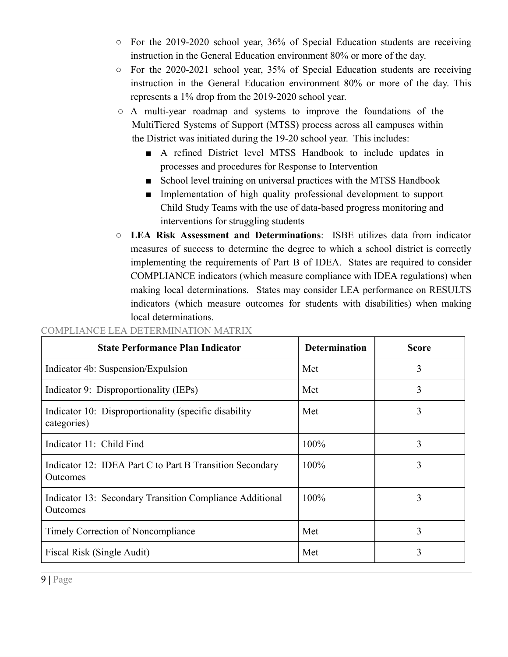- For the 2019-2020 school year, 36% of Special Education students are receiving instruction in the General Education environment 80% or more of the day.
- For the 2020-2021 school year, 35% of Special Education students are receiving instruction in the General Education environment 80% or more of the day. This represents a 1% drop from the 2019-2020 school year.
- $\circ$  A multi-year roadmap and systems to improve the foundations of the MultiTiered Systems of Support (MTSS) process across all campuses within the District was initiated during the 19-20 school year. This includes:
	- A refined District level MTSS Handbook to include updates in processes and procedures for Response to Intervention
	- School level training on universal practices with the MTSS Handbook
	- Implementation of high quality professional development to support Child Study Teams with the use of data-based progress monitoring and interventions for struggling students
- **LEA Risk Assessment and Determinations**: ISBE utilizes data from indicator measures of success to determine the degree to which a school district is correctly implementing the requirements of Part B of IDEA. States are required to consider COMPLIANCE indicators (which measure compliance with IDEA regulations) when making local determinations. States may consider LEA performance on RESULTS indicators (which measure outcomes for students with disabilities) when making local determinations.

| <b>State Performance Plan Indicator</b>                              | <b>Determination</b> | <b>Score</b> |
|----------------------------------------------------------------------|----------------------|--------------|
| Indicator 4b: Suspension/Expulsion                                   | Met                  | 3            |
| Indicator 9: Disproportionality (IEPs)                               | Met                  | 3            |
| Indicator 10: Disproportionality (specific disability<br>categories) | Met                  | 3            |
| Indicator 11: Child Find                                             | 100%                 | 3            |
| Indicator 12: IDEA Part C to Part B Transition Secondary<br>Outcomes | 100%                 | 3            |
| Indicator 13: Secondary Transition Compliance Additional<br>Outcomes | 100%                 | 3            |
| Timely Correction of Noncompliance                                   | Met                  | 3            |
| Fiscal Risk (Single Audit)                                           | Met                  | 3            |

#### COMPLIANCE LEA DETERMINATION MATRIX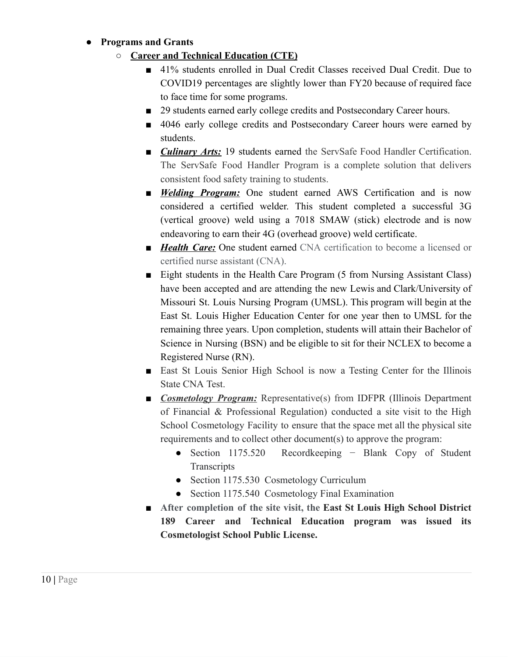#### **● Programs and Grants**

- **Career and Technical Education (CTE)**
	- 41% students enrolled in Dual Credit Classes received Dual Credit. Due to COVID19 percentages are slightly lower than FY20 because of required face to face time for some programs.
	- 29 students earned early college credits and Postsecondary Career hours.
	- 4046 early college credits and Postsecondary Career hours were earned by students.
	- *Culinary Arts:* 19 students earned the ServSafe Food Handler Certification. The ServSafe Food Handler Program is a complete solution that delivers consistent food safety training to students.
	- *Welding Program:* One student earned AWS Certification and is now considered a certified welder. This student completed a successful 3G (vertical groove) weld using a 7018 SMAW (stick) electrode and is now endeavoring to earn their 4G (overhead groove) weld certificate.
	- *Health Care:* One student earned CNA certification to become a licensed or certified nurse assistant (CNA).
	- Eight students in the Health Care Program (5 from Nursing Assistant Class) have been accepted and are attending the new Lewis and Clark/University of Missouri St. Louis Nursing Program (UMSL). This program will begin at the East St. Louis Higher Education Center for one year then to UMSL for the remaining three years. Upon completion, students will attain their Bachelor of Science in Nursing (BSN) and be eligible to sit for their NCLEX to become a Registered Nurse (RN).
	- East St Louis Senior High School is now a Testing Center for the Illinois State CNA Test.
	- *Cosmetology Program:* Representative(s) from IDFPR (Illinois Department of Financial & Professional Regulation) conducted a site visit to the High School Cosmetology Facility to ensure that the space met all the physical site requirements and to collect other document(s) to approve the program:
		- Section 1175.520 Recordkeeping − Blank Copy of Student **Transcripts**
		- Section 1175.530 Cosmetology Curriculum
		- Section 1175.540 Cosmetology Final Examination
	- **■ After completion of the site visit, the East St Louis High School District 189 Career and Technical Education program was issued its Cosmetologist School Public License.**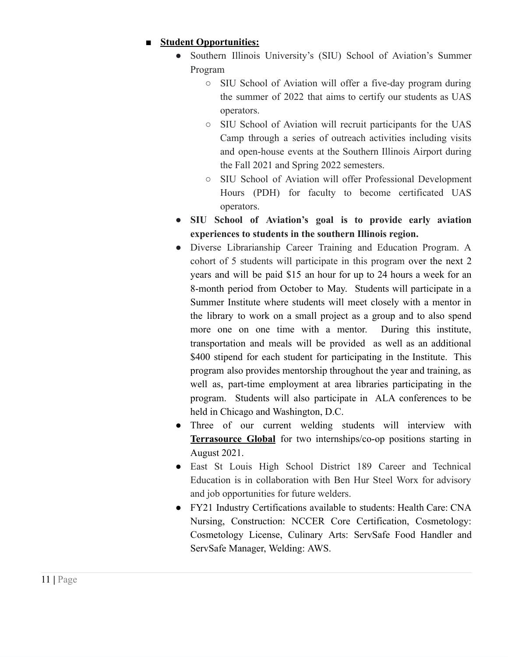#### **■ Student Opportunities:**

- Southern Illinois University's (SIU) School of Aviation's Summer Program
	- SIU School of Aviation will offer a five-day program during the summer of 2022 that aims to certify our students as UAS operators.
	- SIU School of Aviation will recruit participants for the UAS Camp through a series of outreach activities including visits and open-house events at the Southern Illinois Airport during the Fall 2021 and Spring 2022 semesters.
	- SIU School of Aviation will offer Professional Development Hours (PDH) for faculty to become certificated UAS operators.
- **SIU School of Aviation's goal is to provide early aviation experiences to students in the southern Illinois region.**
- Diverse Librarianship Career Training and Education Program. A cohort of 5 students will participate in this program over the next 2 years and will be paid \$15 an hour for up to 24 hours a week for an 8-month period from October to May. Students will participate in a Summer Institute where students will meet closely with a mentor in the library to work on a small project as a group and to also spend more one on one time with a mentor. During this institute, transportation and meals will be provided as well as an additional \$400 stipend for each student for participating in the Institute. This program also provides mentorship throughout the year and training, as well as, part-time employment at area libraries participating in the program. Students will also participate in ALA conferences to be held in Chicago and Washington, D.C.
- Three of our current welding students will interview with **Terrasource Global** for two internships/co-op positions starting in August 2021.
- East St Louis High School District 189 Career and Technical Education is in collaboration with Ben Hur Steel Worx for advisory and job opportunities for future welders.
- FY21 Industry Certifications available to students: Health Care: CNA Nursing, Construction: NCCER Core Certification, Cosmetology: Cosmetology License, Culinary Arts: ServSafe Food Handler and ServSafe Manager, Welding: AWS.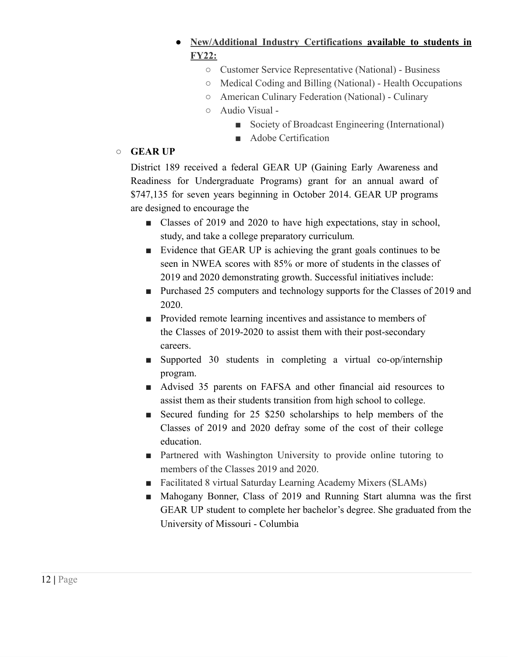- **● New/Additional Industry Certifications available to students in FY22:**
	- Customer Service Representative (National) Business
	- Medical Coding and Billing (National) Health Occupations
	- American Culinary Federation (National) Culinary
	- Audio Visual
		- Society of Broadcast Engineering (International)
		- Adobe Certification

#### **○ GEAR UP**

District 189 received a federal GEAR UP (Gaining Early Awareness and Readiness for Undergraduate Programs) grant for an annual award of \$747,135 for seven years beginning in October 2014. GEAR UP programs are designed to encourage the

- Classes of 2019 and 2020 to have high expectations, stay in school, study, and take a college preparatory curriculum*.*
- Evidence that GEAR UP is achieving the grant goals continues to be seen in NWEA scores with 85% or more of students in the classes of 2019 and 2020 demonstrating growth. Successful initiatives include:
- Purchased 25 computers and technology supports for the Classes of 2019 and 2020.
- Provided remote learning incentives and assistance to members of the Classes of 2019-2020 to assist them with their post-secondary careers.
- Supported 30 students in completing a virtual co-op/internship program.
- Advised 35 parents on FAFSA and other financial aid resources to assist them as their students transition from high school to college.
- Secured funding for 25 \$250 scholarships to help members of the Classes of 2019 and 2020 defray some of the cost of their college education.
- Partnered with Washington University to provide online tutoring to members of the Classes 2019 and 2020.
- Facilitated 8 virtual Saturday Learning Academy Mixers (SLAMs)
- Mahogany Bonner, Class of 2019 and Running Start alumna was the first GEAR UP student to complete her bachelor's degree. She graduated from the University of Missouri - Columbia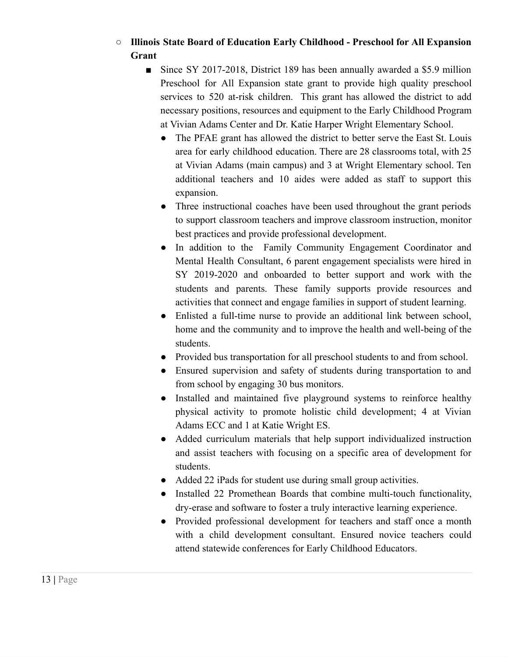#### **○ Illinois State Board of Education Early Childhood - Preschool for All Expansion Grant**

- Since SY 2017-2018, District 189 has been annually awarded a \$5.9 million Preschool for All Expansion state grant to provide high quality preschool services to 520 at-risk children. This grant has allowed the district to add necessary positions, resources and equipment to the Early Childhood Program at Vivian Adams Center and Dr. Katie Harper Wright Elementary School.
	- The PFAE grant has allowed the district to better serve the East St. Louis area for early childhood education. There are 28 classrooms total, with 25 at Vivian Adams (main campus) and 3 at Wright Elementary school. Ten additional teachers and 10 aides were added as staff to support this expansion.
	- Three instructional coaches have been used throughout the grant periods to support classroom teachers and improve classroom instruction, monitor best practices and provide professional development.
	- In addition to the Family Community Engagement Coordinator and Mental Health Consultant, 6 parent engagement specialists were hired in SY 2019-2020 and onboarded to better support and work with the students and parents. These family supports provide resources and activities that connect and engage families in support of student learning.
	- Enlisted a full-time nurse to provide an additional link between school, home and the community and to improve the health and well-being of the students.
	- Provided bus transportation for all preschool students to and from school.
	- Ensured supervision and safety of students during transportation to and from school by engaging 30 bus monitors.
	- Installed and maintained five playground systems to reinforce healthy physical activity to promote holistic child development; 4 at Vivian Adams ECC and 1 at Katie Wright ES.
	- Added curriculum materials that help support individualized instruction and assist teachers with focusing on a specific area of development for students.
	- Added 22 iPads for student use during small group activities.
	- Installed 22 Promethean Boards that combine multi-touch functionality, dry-erase and software to foster a truly interactive learning experience.
	- Provided professional development for teachers and staff once a month with a child development consultant. Ensured novice teachers could attend statewide conferences for Early Childhood Educators.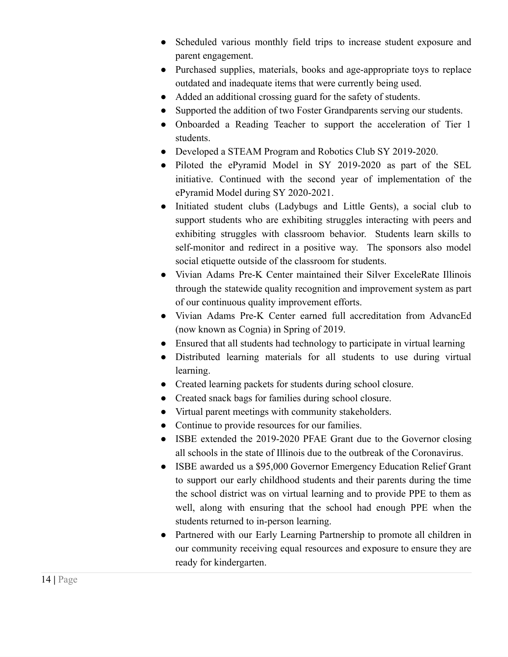- Scheduled various monthly field trips to increase student exposure and parent engagement.
- Purchased supplies, materials, books and age-appropriate toys to replace outdated and inadequate items that were currently being used.
- Added an additional crossing guard for the safety of students.
- Supported the addition of two Foster Grandparents serving our students.
- Onboarded a Reading Teacher to support the acceleration of Tier 1 students.
- Developed a STEAM Program and Robotics Club SY 2019-2020.
- Piloted the ePyramid Model in SY 2019-2020 as part of the SEL initiative. Continued with the second year of implementation of the ePyramid Model during SY 2020-2021.
- Initiated student clubs (Ladybugs and Little Gents), a social club to support students who are exhibiting struggles interacting with peers and exhibiting struggles with classroom behavior. Students learn skills to self-monitor and redirect in a positive way. The sponsors also model social etiquette outside of the classroom for students.
- Vivian Adams Pre-K Center maintained their Silver ExceleRate Illinois through the statewide quality recognition and improvement system as part of our continuous quality improvement efforts.
- Vivian Adams Pre-K Center earned full accreditation from AdvancEd (now known as Cognia) in Spring of 2019.
- Ensured that all students had technology to participate in virtual learning
- Distributed learning materials for all students to use during virtual learning.
- Created learning packets for students during school closure.
- Created snack bags for families during school closure.
- Virtual parent meetings with community stakeholders.
- Continue to provide resources for our families.
- ISBE extended the 2019-2020 PFAE Grant due to the Governor closing all schools in the state of Illinois due to the outbreak of the Coronavirus.
- ISBE awarded us a \$95,000 Governor Emergency Education Relief Grant to support our early childhood students and their parents during the time the school district was on virtual learning and to provide PPE to them as well, along with ensuring that the school had enough PPE when the students returned to in-person learning.
- Partnered with our Early Learning Partnership to promote all children in our community receiving equal resources and exposure to ensure they are ready for kindergarten.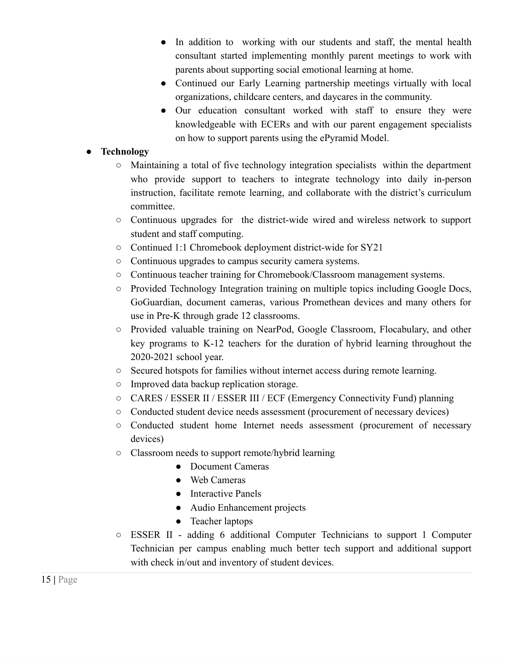- In addition to working with our students and staff, the mental health consultant started implementing monthly parent meetings to work with parents about supporting social emotional learning at home.
- Continued our Early Learning partnership meetings virtually with local organizations, childcare centers, and daycares in the community.
- Our education consultant worked with staff to ensure they were knowledgeable with ECERs and with our parent engagement specialists on how to support parents using the ePyramid Model.

#### **● Technology**

- Maintaining a total of five technology integration specialists within the department who provide support to teachers to integrate technology into daily in-person instruction, facilitate remote learning, and collaborate with the district's curriculum committee.
- Continuous upgrades for the district-wide wired and wireless network to support student and staff computing.
- Continued 1:1 Chromebook deployment district-wide for SY21
- Continuous upgrades to campus security camera systems.
- Continuous teacher training for Chromebook/Classroom management systems.
- Provided Technology Integration training on multiple topics including Google Docs, GoGuardian, document cameras, various Promethean devices and many others for use in Pre-K through grade 12 classrooms.
- Provided valuable training on NearPod, Google Classroom, Flocabulary, and other key programs to K-12 teachers for the duration of hybrid learning throughout the 2020-2021 school year.
- Secured hotspots for families without internet access during remote learning.
- Improved data backup replication storage.
- CARES / ESSER II / ESSER III / ECF (Emergency Connectivity Fund) planning
- Conducted student device needs assessment (procurement of necessary devices)
- Conducted student home Internet needs assessment (procurement of necessary devices)
- Classroom needs to support remote/hybrid learning
	- Document Cameras
	- Web Cameras
	- Interactive Panels
	- Audio Enhancement projects
	- Teacher laptops
- ESSER II adding 6 additional Computer Technicians to support 1 Computer Technician per campus enabling much better tech support and additional support with check in/out and inventory of student devices.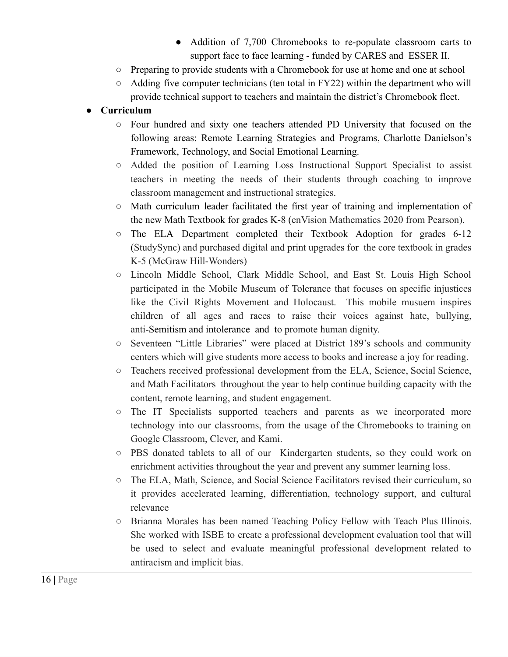- Addition of 7,700 Chromebooks to re-populate classroom carts to support face to face learning - funded by CARES and ESSER II.
- Preparing to provide students with a Chromebook for use at home and one at school
- Adding five computer technicians (ten total in FY22) within the department who will provide technical support to teachers and maintain the district's Chromebook fleet.

#### **● Curriculum**

- Four hundred and sixty one teachers attended PD University that focused on the following areas: Remote Learning Strategies and Programs, Charlotte Danielson's Framework, Technology, and Social Emotional Learning.
- Added the position of Learning Loss Instructional Support Specialist to assist teachers in meeting the needs of their students through coaching to improve classroom management and instructional strategies.
- Math curriculum leader facilitated the first year of training and implementation of the new Math Textbook for grades K-8 (enVision Mathematics 2020 from Pearson).
- The ELA Department completed their Textbook Adoption for grades 6-12 (StudySync) and purchased digital and print upgrades for the core textbook in grades K-5 (McGraw Hill-Wonders)
- Lincoln Middle School, Clark Middle School, and East St. Louis High School participated in the Mobile Museum of Tolerance that focuses on specific injustices like the Civil Rights Movement and Holocaust. This mobile musuem inspires children of all ages and races to raise their voices against hate, bullying, anti-Semitism and intolerance and to promote human dignity.
- Seventeen "Little Libraries" were placed at District 189's schools and community centers which will give students more access to books and increase a joy for reading.
- Teachers received professional development from the ELA, Science, Social Science, and Math Facilitators throughout the year to help continue building capacity with the content, remote learning, and student engagement.
- The IT Specialists supported teachers and parents as we incorporated more technology into our classrooms, from the usage of the Chromebooks to training on Google Classroom, Clever, and Kami.
- PBS donated tablets to all of our Kindergarten students, so they could work on enrichment activities throughout the year and prevent any summer learning loss.
- The ELA, Math, Science, and Social Science Facilitators revised their curriculum, so it provides accelerated learning, differentiation, technology support, and cultural relevance
- Brianna Morales has been named Teaching Policy Fellow with Teach Plus Illinois. She worked with ISBE to create a professional development evaluation tool that will be used to select and evaluate meaningful professional development related to antiracism and implicit bias.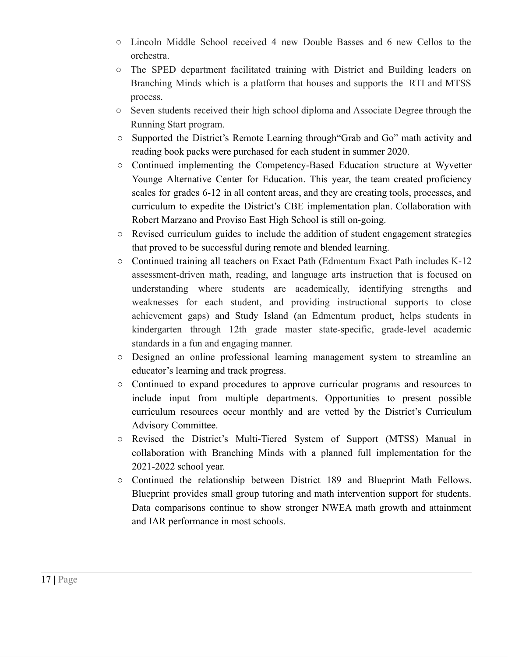- Lincoln Middle School received 4 new Double Basses and 6 new Cellos to the orchestra.
- The SPED department facilitated training with District and Building leaders on Branching Minds which is a platform that houses and supports the RTI and MTSS process.
- Seven students received their high school diploma and Associate Degree through the Running Start program.
- Supported the District's Remote Learning through"Grab and Go" math activity and reading book packs were purchased for each student in summer 2020.
- Continued implementing the Competency-Based Education structure at Wyvetter Younge Alternative Center for Education. This year, the team created proficiency scales for grades 6-12 in all content areas, and they are creating tools, processes, and curriculum to expedite the District's CBE implementation plan. Collaboration with Robert Marzano and Proviso East High School is still on-going.
- Revised curriculum guides to include the addition of student engagement strategies that proved to be successful during remote and blended learning.
- Continued training all teachers on Exact Path (Edmentum Exact Path includes K-12 assessment-driven math, reading, and language arts instruction that is focused on understanding where students are academically, identifying strengths and weaknesses for each student, and providing instructional supports to close achievement gaps) and Study Island (an Edmentum product, helps students in kindergarten through 12th grade master state-specific, grade-level academic standards in a fun and engaging manner.
- Designed an online professional learning management system to streamline an educator's learning and track progress.
- Continued to expand procedures to approve curricular programs and resources to include input from multiple departments. Opportunities to present possible curriculum resources occur monthly and are vetted by the District's Curriculum Advisory Committee.
- Revised the District's Multi-Tiered System of Support (MTSS) Manual in collaboration with Branching Minds with a planned full implementation for the 2021-2022 school year.
- Continued the relationship between District 189 and Blueprint Math Fellows. Blueprint provides small group tutoring and math intervention support for students. Data comparisons continue to show stronger NWEA math growth and attainment and IAR performance in most schools.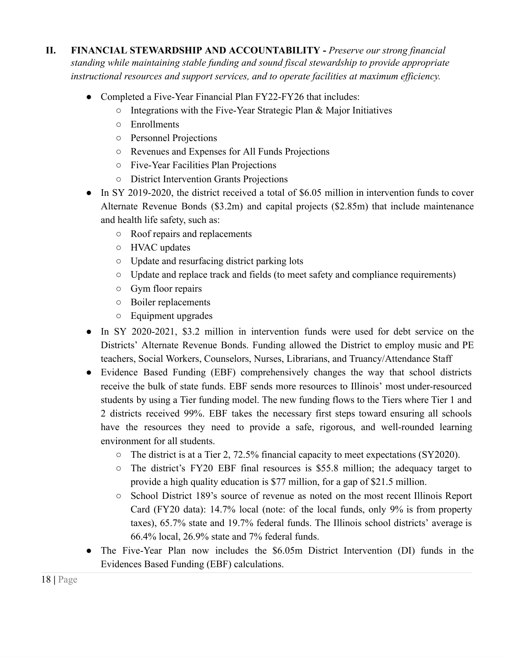- **II. FINANCIAL STEWARDSHIP AND ACCOUNTABILITY -** *Preserve our strong financial standing while maintaining stable funding and sound fiscal stewardship to provide appropriate instructional resources and support services, and to operate facilities at maximum efficiency.*
	- Completed a Five-Year Financial Plan FY22-FY26 that includes:
		- $\circ$  Integrations with the Five-Year Strategic Plan & Major Initiatives
		- Enrollments
		- Personnel Projections
		- Revenues and Expenses for All Funds Projections
		- Five-Year Facilities Plan Projections
		- District Intervention Grants Projections
	- In SY 2019-2020, the district received a total of \$6.05 million in intervention funds to cover Alternate Revenue Bonds (\$3.2m) and capital projects (\$2.85m) that include maintenance and health life safety, such as:
		- Roof repairs and replacements
		- HVAC updates
		- Update and resurfacing district parking lots
		- Update and replace track and fields (to meet safety and compliance requirements)
		- Gym floor repairs
		- Boiler replacements
		- Equipment upgrades
	- In SY 2020-2021, \$3.2 million in intervention funds were used for debt service on the Districts' Alternate Revenue Bonds. Funding allowed the District to employ music and PE teachers, Social Workers, Counselors, Nurses, Librarians, and Truancy/Attendance Staff
	- Evidence Based Funding (EBF) comprehensively changes the way that school districts receive the bulk of state funds. EBF sends more resources to Illinois' most under-resourced students by using a Tier funding model. The new funding flows to the Tiers where Tier 1 and 2 districts received 99%. EBF takes the necessary first steps toward ensuring all schools have the resources they need to provide a safe, rigorous, and well-rounded learning environment for all students.
		- The district is at a Tier 2, 72.5% financial capacity to meet expectations (SY2020).
		- The district's FY20 EBF final resources is \$55.8 million; the adequacy target to provide a high quality education is \$77 million, for a gap of \$21.5 million.
		- School District 189's source of revenue as noted on the most recent Illinois Report Card (FY20 data): 14.7% local (note: of the local funds, only 9% is from property taxes), 65.7% state and 19.7% federal funds. The Illinois school districts' average is 66.4% local, 26.9% state and 7% federal funds.
	- The Five-Year Plan now includes the \$6.05m District Intervention (DI) funds in the Evidences Based Funding (EBF) calculations.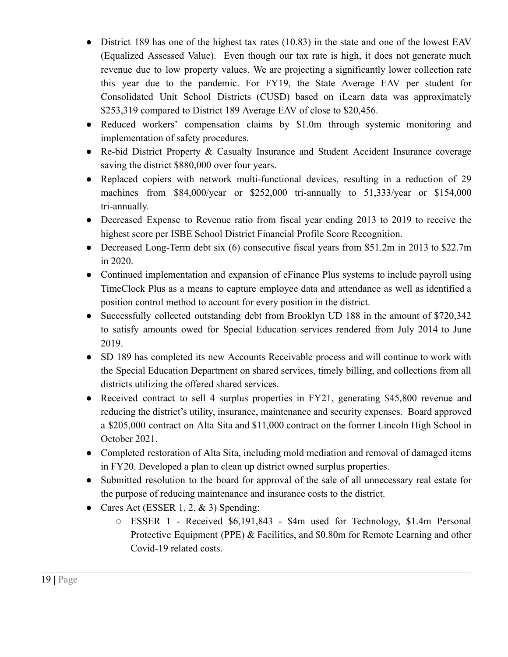- District 189 has one of the highest tax rates (10.83) in the state and one of the lowest EAV (Equalized Assessed Value). Even though our tax rate is high, it does not generate much revenue due to low property values. We are projecting a significantly lower collection rate this year due to the pandemic. For FY19, the State Average EAV per student for Consolidated Unit School Districts (CUSD) based on iLearn data was approximately \$253,319 compared to District 189 Average EAV of close to \$20,456.
- Reduced workers' compensation claims by \$1.0m through systemic monitoring and implementation of safety procedures.
- Re-bid District Property & Casualty Insurance and Student Accident Insurance coverage saving the district \$880,000 over four years.
- Replaced copiers with network multi-functional devices, resulting in a reduction of 29 machines from \$84,000/year or \$252,000 tri-annually to 51,333/year or \$154,000 tri-annually.
- Decreased Expense to Revenue ratio from fiscal year ending 2013 to 2019 to receive the highest score per ISBE School District Financial Profile Score Recognition.
- Decreased Long-Term debt six (6) consecutive fiscal years from \$51.2m in 2013 to \$22.7m in 2020.
- Continued implementation and expansion of eFinance Plus systems to include payroll using TimeClock Plus as a means to capture employee data and attendance as well as identified a position control method to account for every position in the district.
- Successfully collected outstanding debt from Brooklyn UD 188 in the amount of \$720,342 to satisfy amounts owed for Special Education services rendered from July 2014 to June 2019.
- SD 189 has completed its new Accounts Receivable process and will continue to work with the Special Education Department on shared services, timely billing, and collections from all districts utilizing the offered shared services.
- Received contract to sell 4 surplus properties in FY21, generating \$45,800 revenue and reducing the district's utility, insurance, maintenance and security expenses. Board approved a \$205,000 contract on Alta Sita and \$11,000 contract on the former Lincoln High School in October 2021.
- Completed restoration of Alta Sita, including mold mediation and removal of damaged items in FY20. Developed a plan to clean up district owned surplus properties.
- Submitted resolution to the board for approval of the sale of all unnecessary real estate for the purpose of reducing maintenance and insurance costs to the district.
- Cares Act (ESSER 1, 2,  $&$  3) Spending:
	- ESSER 1 Received \$6,191,843 \$4m used for Technology, \$1.4m Personal Protective Equipment (PPE) & Facilities, and \$0.80m for Remote Learning and other Covid-19 related costs.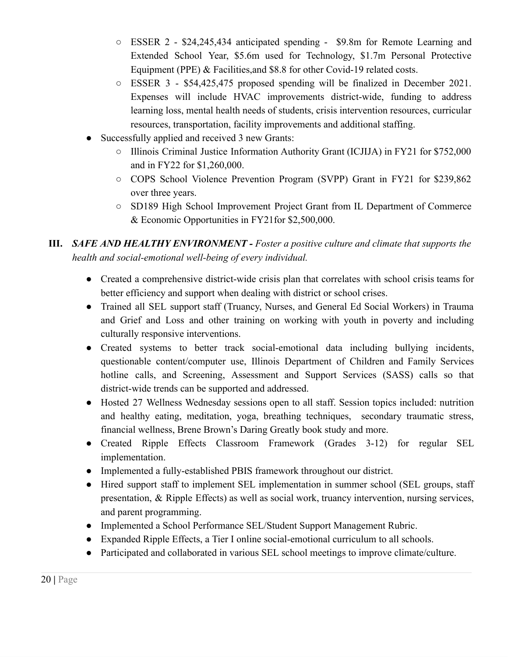- ESSER 2 \$24,245,434 anticipated spending \$9.8m for Remote Learning and Extended School Year, \$5.6m used for Technology, \$1.7m Personal Protective Equipment (PPE) & Facilities,and \$8.8 for other Covid-19 related costs.
- ESSER 3 \$54,425,475 proposed spending will be finalized in December 2021. Expenses will include HVAC improvements district-wide, funding to address learning loss, mental health needs of students, crisis intervention resources, curricular resources, transportation, facility improvements and additional staffing.
- Successfully applied and received 3 new Grants:
	- Illinois Criminal Justice Information Authority Grant (ICJIJA) in FY21 for \$752,000 and in FY22 for \$1,260,000.
	- COPS School Violence Prevention Program (SVPP) Grant in FY21 for \$239,862 over three years.
	- SD189 High School Improvement Project Grant from IL Department of Commerce & Economic Opportunities in FY21for \$2,500,000.
- **III.** *SAFE AND HEALTHY ENVIRONMENT - Foster a positive culture and climate that supports the health and social-emotional well-being of every individual.*
	- Created a comprehensive district-wide crisis plan that correlates with school crisis teams for better efficiency and support when dealing with district or school crises.
	- Trained all SEL support staff (Truancy, Nurses, and General Ed Social Workers) in Trauma and Grief and Loss and other training on working with youth in poverty and including culturally responsive interventions.
	- Created systems to better track social-emotional data including bullying incidents, questionable content/computer use, Illinois Department of Children and Family Services hotline calls, and Screening, Assessment and Support Services (SASS) calls so that district-wide trends can be supported and addressed.
	- Hosted 27 Wellness Wednesday sessions open to all staff. Session topics included: nutrition and healthy eating, meditation, yoga, breathing techniques, secondary traumatic stress, financial wellness, Brene Brown's Daring Greatly book study and more.
	- Created Ripple Effects Classroom Framework (Grades 3-12) for regular SEL implementation.
	- Implemented a fully-established PBIS framework throughout our district.
	- Hired support staff to implement SEL implementation in summer school (SEL groups, staff presentation, & Ripple Effects) as well as social work, truancy intervention, nursing services, and parent programming.
	- Implemented a School Performance SEL/Student Support Management Rubric.
	- Expanded Ripple Effects, a Tier I online social-emotional curriculum to all schools.
	- Participated and collaborated in various SEL school meetings to improve climate/culture.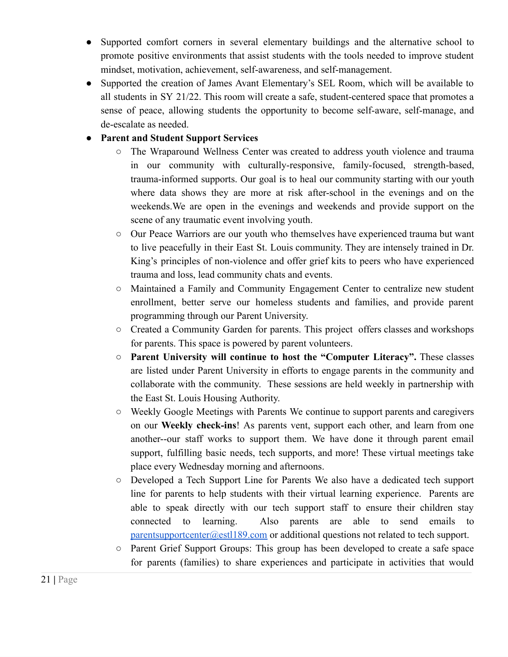- Supported comfort corners in several elementary buildings and the alternative school to promote positive environments that assist students with the tools needed to improve student mindset, motivation, achievement, self-awareness, and self-management.
- Supported the creation of James Avant Elementary's SEL Room, which will be available to all students in SY 21/22. This room will create a safe, student-centered space that promotes a sense of peace, allowing students the opportunity to become self-aware, self-manage, and de-escalate as needed.

#### ● **Parent and Student Support Services**

- The Wraparound Wellness Center was created to address youth violence and trauma in our community with culturally-responsive, family-focused, strength-based, trauma-informed supports. Our goal is to heal our community starting with our youth where data shows they are more at risk after-school in the evenings and on the weekends.We are open in the evenings and weekends and provide support on the scene of any traumatic event involving youth.
- Our Peace Warriors are our youth who themselves have experienced trauma but want to live peacefully in their East St. Louis community. They are intensely trained in Dr. King's principles of non-violence and offer grief kits to peers who have experienced trauma and loss, lead community chats and events.
- Maintained a Family and Community Engagement Center to centralize new student enrollment, better serve our homeless students and families, and provide parent programming through our Parent University.
- Created a Community Garden for parents. This project offers classes and workshops for parents. This space is powered by parent volunteers.
- **Parent University will continue to host the "Computer Literacy".** These classes are listed under Parent University in efforts to engage parents in the community and collaborate with the community. These sessions are held weekly in partnership with the East St. Louis Housing Authority.
- Weekly Google Meetings with Parents We continue to support parents and caregivers on our **Weekly check-ins**! As parents vent, support each other, and learn from one another--our staff works to support them. We have done it through parent email support, fulfilling basic needs, tech supports, and more! These virtual meetings take place every Wednesday morning and afternoons.
- Developed a Tech Support Line for Parents We also have a dedicated tech support line for parents to help students with their virtual learning experience. Parents are able to speak directly with our tech support staff to ensure their children stay connected to learning. Also parents are able to send emails to [parentsupportcenter@estl189.com](mailto:parentsupportcenter@estl189.com) or additional questions not related to tech support.
- Parent Grief Support Groups: This group has been developed to create a safe space for parents (families) to share experiences and participate in activities that would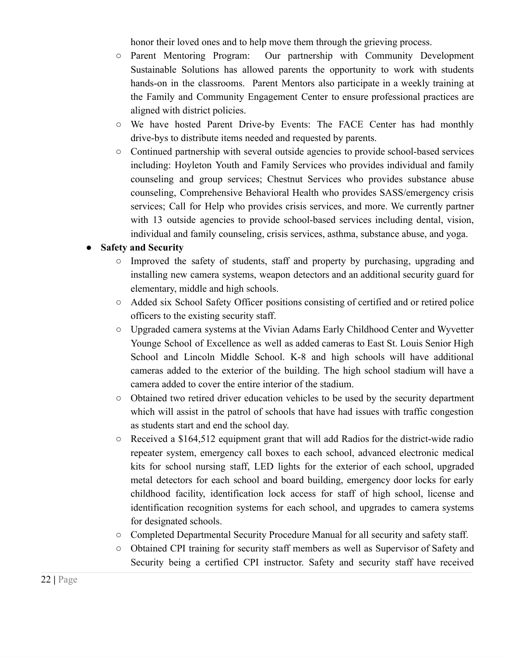honor their loved ones and to help move them through the grieving process.

- Parent Mentoring Program: Our partnership with Community Development Sustainable Solutions has allowed parents the opportunity to work with students hands-on in the classrooms. Parent Mentors also participate in a weekly training at the Family and Community Engagement Center to ensure professional practices are aligned with district policies.
- We have hosted Parent Drive-by Events: The FACE Center has had monthly drive-bys to distribute items needed and requested by parents.
- Continued partnership with several outside agencies to provide school-based services including: Hoyleton Youth and Family Services who provides individual and family counseling and group services; Chestnut Services who provides substance abuse counseling, Comprehensive Behavioral Health who provides SASS/emergency crisis services; Call for Help who provides crisis services, and more. We currently partner with 13 outside agencies to provide school-based services including dental, vision, individual and family counseling, crisis services, asthma, substance abuse, and yoga.

#### ● **Safety and Security**

- Improved the safety of students, staff and property by purchasing, upgrading and installing new camera systems, weapon detectors and an additional security guard for elementary, middle and high schools.
- Added six School Safety Officer positions consisting of certified and or retired police officers to the existing security staff.
- Upgraded camera systems at the Vivian Adams Early Childhood Center and Wyvetter Younge School of Excellence as well as added cameras to East St. Louis Senior High School and Lincoln Middle School. K-8 and high schools will have additional cameras added to the exterior of the building. The high school stadium will have a camera added to cover the entire interior of the stadium.
- Obtained two retired driver education vehicles to be used by the security department which will assist in the patrol of schools that have had issues with traffic congestion as students start and end the school day.
- $\circ$  Received a \$164,512 equipment grant that will add Radios for the district-wide radio repeater system, emergency call boxes to each school, advanced electronic medical kits for school nursing staff, LED lights for the exterior of each school, upgraded metal detectors for each school and board building, emergency door locks for early childhood facility, identification lock access for staff of high school, license and identification recognition systems for each school, and upgrades to camera systems for designated schools.
- Completed Departmental Security Procedure Manual for all security and safety staff.
- Obtained CPI training for security staff members as well as Supervisor of Safety and Security being a certified CPI instructor. Safety and security staff have received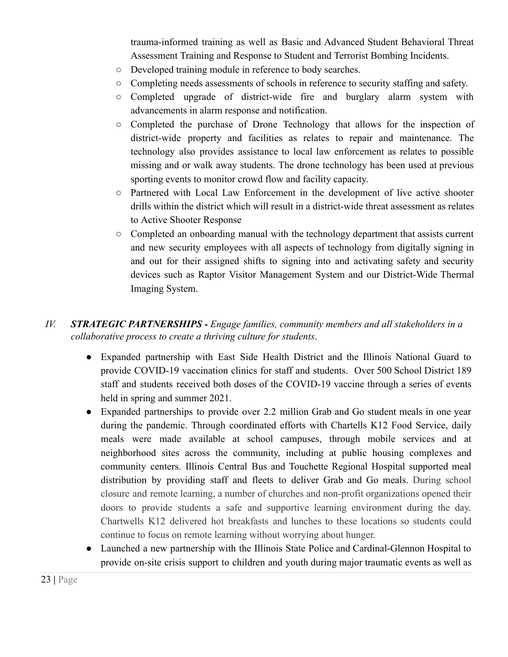trauma-informed training as well as Basic and Advanced Student Behavioral Threat Assessment Training and Response to Student and Terrorist Bombing Incidents.

- Developed training module in reference to body searches.
- Completing needs assessments of schools in reference to security staffing and safety.
- Completed upgrade of district-wide fire and burglary alarm system with advancements in alarm response and notification.
- Completed the purchase of Drone Technology that allows for the inspection of district-wide property and facilities as relates to repair and maintenance. The technology also provides assistance to local law enforcement as relates to possible missing and or walk away students. The drone technology has been used at previous sporting events to monitor crowd flow and facility capacity.
- Partnered with Local Law Enforcement in the development of live active shooter drills within the district which will result in a district-wide threat assessment as relates to Active Shooter Response
- Completed an onboarding manual with the technology department that assists current and new security employees with all aspects of technology from digitally signing in and out for their assigned shifts to signing into and activating safety and security devices such as Raptor Visitor Management System and our District-Wide Thermal Imaging System.

#### *IV. STRATEGIC PARTNERSHIPS - Engage families, community members and all stakeholders in a collaborative process to create a thriving culture for students*.

- Expanded partnership with East Side Health District and the Illinois National Guard to provide COVID-19 vaccination clinics for staff and students. Over 500 School District 189 staff and students received both doses of the COVID-19 vaccine through a series of events held in spring and summer 2021.
- Expanded partnerships to provide over 2.2 million Grab and Go student meals in one year during the pandemic. Through coordinated efforts with Chartells K12 Food Service, daily meals were made available at school campuses, through mobile services and at neighborhood sites across the community, including at public housing complexes and community centers. Illinois Central Bus and Touchette Regional Hospital supported meal distribution by providing staff and fleets to deliver Grab and Go meals. During school closure and remote learning, a number of churches and non-profit organizations opened their doors to provide students a safe and supportive learning environment during the day. Chartwells K12 delivered hot breakfasts and lunches to these locations so students could continue to focus on remote learning without worrying about hunger.
- Launched a new partnership with the Illinois State Police and Cardinal-Glennon Hospital to provide on-site crisis support to children and youth during major traumatic events as well as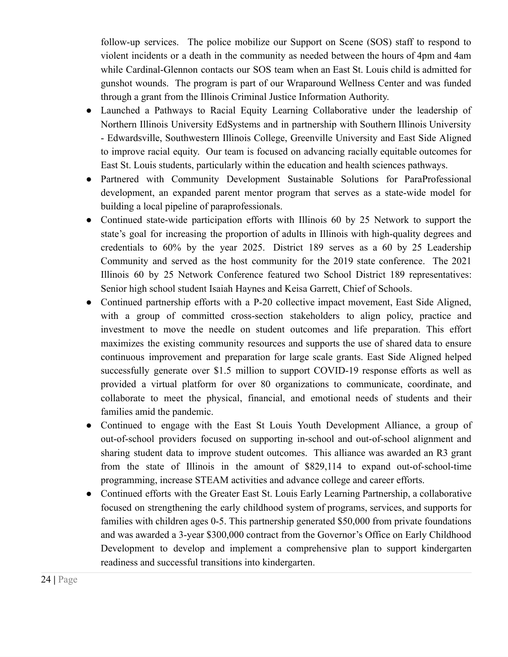follow-up services. The police mobilize our Support on Scene (SOS) staff to respond to violent incidents or a death in the community as needed between the hours of 4pm and 4am while Cardinal-Glennon contacts our SOS team when an East St. Louis child is admitted for gunshot wounds. The program is part of our Wraparound Wellness Center and was funded through a grant from the Illinois Criminal Justice Information Authority.

- Launched a Pathways to Racial Equity Learning Collaborative under the leadership of Northern Illinois University EdSystems and in partnership with Southern Illinois University - Edwardsville, Southwestern Illinois College, Greenville University and East Side Aligned to improve racial equity. Our team is focused on advancing racially equitable outcomes for East St. Louis students, particularly within the education and health sciences pathways.
- Partnered with Community Development Sustainable Solutions for ParaProfessional development, an expanded parent mentor program that serves as a state-wide model for building a local pipeline of paraprofessionals.
- Continued state-wide participation efforts with Illinois 60 by 25 Network to support the state's goal for increasing the proportion of adults in Illinois with high-quality degrees and credentials to 60% by the year 2025. District 189 serves as a 60 by 25 Leadership Community and served as the host community for the 2019 state conference. The 2021 Illinois 60 by 25 Network Conference featured two School District 189 representatives: Senior high school student Isaiah Haynes and Keisa Garrett, Chief of Schools.
- Continued partnership efforts with a P-20 collective impact movement, East Side Aligned, with a group of committed cross-section stakeholders to align policy, practice and investment to move the needle on student outcomes and life preparation. This effort maximizes the existing community resources and supports the use of shared data to ensure continuous improvement and preparation for large scale grants. East Side Aligned helped successfully generate over \$1.5 million to support COVID-19 response efforts as well as provided a virtual platform for over 80 organizations to communicate, coordinate, and collaborate to meet the physical, financial, and emotional needs of students and their families amid the pandemic.
- Continued to engage with the East St Louis Youth Development Alliance, a group of out-of-school providers focused on supporting in-school and out-of-school alignment and sharing student data to improve student outcomes. This alliance was awarded an R3 grant from the state of Illinois in the amount of \$829,114 to expand out-of-school-time programming, increase STEAM activities and advance college and career efforts.
- Continued efforts with the Greater East St. Louis Early Learning Partnership, a collaborative focused on strengthening the early childhood system of programs, services, and supports for families with children ages 0-5. This partnership generated \$50,000 from private foundations and was awarded a 3-year \$300,000 contract from the Governor's Office on Early Childhood Development to develop and implement a comprehensive plan to support kindergarten readiness and successful transitions into kindergarten.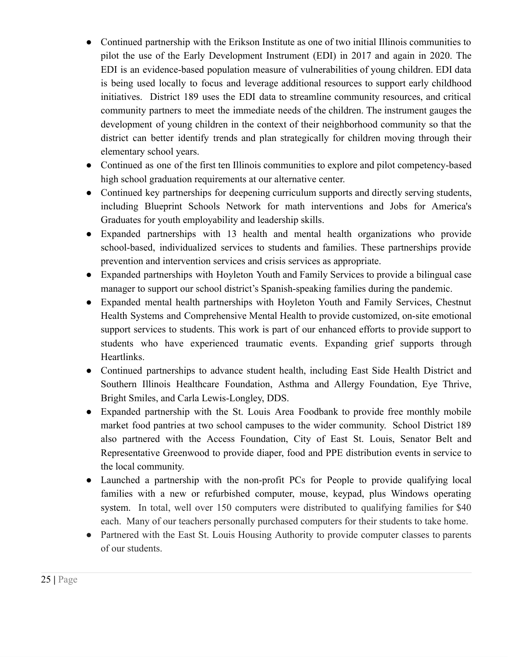- Continued partnership with the Erikson Institute as one of two initial Illinois communities to pilot the use of the Early Development Instrument (EDI) in 2017 and again in 2020. The EDI is an evidence-based population measure of vulnerabilities of young children. EDI data is being used locally to focus and leverage additional resources to support early childhood initiatives. District 189 uses the EDI data to streamline community resources, and critical community partners to meet the immediate needs of the children. The instrument gauges the development of young children in the context of their neighborhood community so that the district can better identify trends and plan strategically for children moving through their elementary school years.
- Continued as one of the first ten Illinois communities to explore and pilot competency-based high school graduation requirements at our alternative center.
- Continued key partnerships for deepening curriculum supports and directly serving students, including Blueprint Schools Network for math interventions and Jobs for America's Graduates for youth employability and leadership skills.
- Expanded partnerships with 13 health and mental health organizations who provide school-based, individualized services to students and families. These partnerships provide prevention and intervention services and crisis services as appropriate.
- Expanded partnerships with Hoyleton Youth and Family Services to provide a bilingual case manager to support our school district's Spanish-speaking families during the pandemic.
- Expanded mental health partnerships with Hoyleton Youth and Family Services, Chestnut Health Systems and Comprehensive Mental Health to provide customized, on-site emotional support services to students. This work is part of our enhanced efforts to provide support to students who have experienced traumatic events. Expanding grief supports through Heartlinks.
- Continued partnerships to advance student health, including East Side Health District and Southern Illinois Healthcare Foundation, Asthma and Allergy Foundation, Eye Thrive, Bright Smiles, and Carla Lewis-Longley, DDS.
- Expanded partnership with the St. Louis Area Foodbank to provide free monthly mobile market food pantries at two school campuses to the wider community. School District 189 also partnered with the Access Foundation, City of East St. Louis, Senator Belt and Representative Greenwood to provide diaper, food and PPE distribution events in service to the local community.
- Launched a partnership with the non-profit PCs for People to provide qualifying local families with a new or refurbished computer, mouse, keypad, plus Windows operating system. In total, well over 150 computers were distributed to qualifying families for \$40 each. Many of our teachers personally purchased computers for their students to take home.
- Partnered with the East St. Louis Housing Authority to provide computer classes to parents of our students.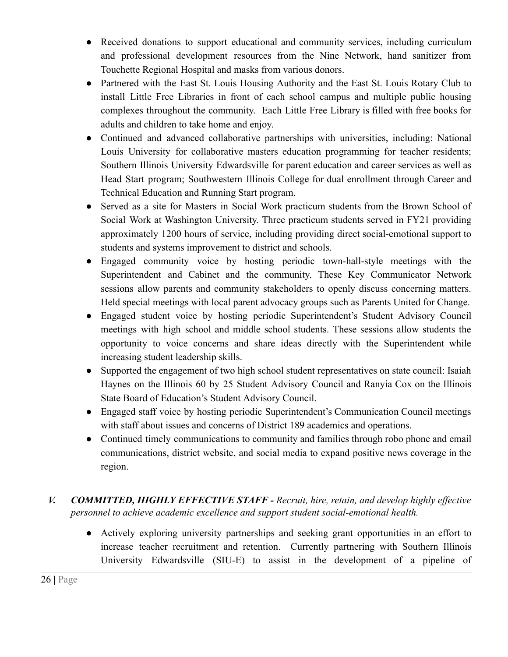- Received donations to support educational and community services, including curriculum and professional development resources from the Nine Network, hand sanitizer from Touchette Regional Hospital and masks from various donors.
- Partnered with the East St. Louis Housing Authority and the East St. Louis Rotary Club to install Little Free Libraries in front of each school campus and multiple public housing complexes throughout the community. Each Little Free Library is filled with free books for adults and children to take home and enjoy.
- Continued and advanced collaborative partnerships with universities, including: National Louis University for collaborative masters education programming for teacher residents; Southern Illinois University Edwardsville for parent education and career services as well as Head Start program; Southwestern Illinois College for dual enrollment through Career and Technical Education and Running Start program.
- Served as a site for Masters in Social Work practicum students from the Brown School of Social Work at Washington University. Three practicum students served in FY21 providing approximately 1200 hours of service, including providing direct social-emotional support to students and systems improvement to district and schools.
- Engaged community voice by hosting periodic town-hall-style meetings with the Superintendent and Cabinet and the community. These Key Communicator Network sessions allow parents and community stakeholders to openly discuss concerning matters. Held special meetings with local parent advocacy groups such as Parents United for Change.
- Engaged student voice by hosting periodic Superintendent's Student Advisory Council meetings with high school and middle school students. These sessions allow students the opportunity to voice concerns and share ideas directly with the Superintendent while increasing student leadership skills.
- Supported the engagement of two high school student representatives on state council: Isaiah Haynes on the Illinois 60 by 25 Student Advisory Council and Ranyia Cox on the Illinois State Board of Education's Student Advisory Council.
- Engaged staff voice by hosting periodic Superintendent's Communication Council meetings with staff about issues and concerns of District 189 academics and operations.
- Continued timely communications to community and families through robo phone and email communications, district website, and social media to expand positive news coverage in the region.
- *V. COMMITTED, HIGHLY EFFECTIVE STAFF - Recruit, hire, retain, and develop highly effective personnel to achieve academic excellence and support student social-emotional health.*
	- Actively exploring university partnerships and seeking grant opportunities in an effort to increase teacher recruitment and retention. Currently partnering with Southern Illinois University Edwardsville (SIU-E) to assist in the development of a pipeline of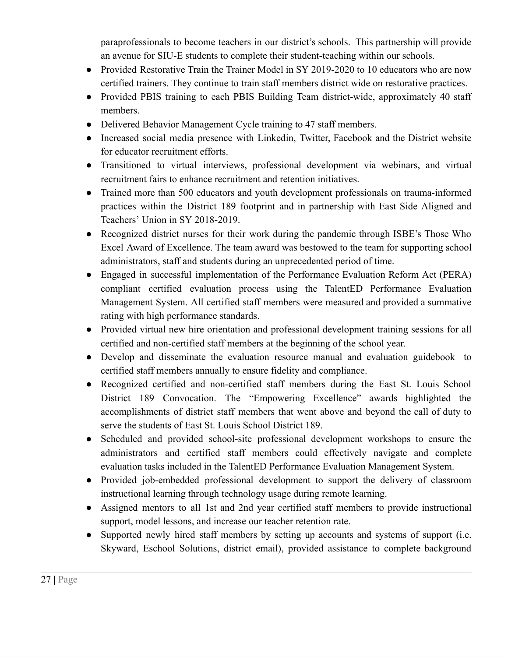paraprofessionals to become teachers in our district's schools. This partnership will provide an avenue for SIU-E students to complete their student-teaching within our schools.

- Provided Restorative Train the Trainer Model in SY 2019-2020 to 10 educators who are now certified trainers. They continue to train staff members district wide on restorative practices.
- Provided PBIS training to each PBIS Building Team district-wide, approximately 40 staff members.
- Delivered Behavior Management Cycle training to 47 staff members.
- Increased social media presence with Linkedin, Twitter, Facebook and the District website for educator recruitment efforts.
- Transitioned to virtual interviews, professional development via webinars, and virtual recruitment fairs to enhance recruitment and retention initiatives.
- Trained more than 500 educators and youth development professionals on trauma-informed practices within the District 189 footprint and in partnership with East Side Aligned and Teachers' Union in SY 2018-2019.
- Recognized district nurses for their work during the pandemic through ISBE's Those Who Excel Award of Excellence. The team award was bestowed to the team for supporting school administrators, staff and students during an unprecedented period of time.
- Engaged in successful implementation of the Performance Evaluation Reform Act (PERA) compliant certified evaluation process using the TalentED Performance Evaluation Management System. All certified staff members were measured and provided a summative rating with high performance standards.
- Provided virtual new hire orientation and professional development training sessions for all certified and non-certified staff members at the beginning of the school year.
- Develop and disseminate the evaluation resource manual and evaluation guidebook to certified staff members annually to ensure fidelity and compliance.
- Recognized certified and non-certified staff members during the East St. Louis School District 189 Convocation. The "Empowering Excellence" awards highlighted the accomplishments of district staff members that went above and beyond the call of duty to serve the students of East St. Louis School District 189.
- Scheduled and provided school-site professional development workshops to ensure the administrators and certified staff members could effectively navigate and complete evaluation tasks included in the TalentED Performance Evaluation Management System.
- Provided job-embedded professional development to support the delivery of classroom instructional learning through technology usage during remote learning.
- Assigned mentors to all 1st and 2nd year certified staff members to provide instructional support, model lessons, and increase our teacher retention rate.
- Supported newly hired staff members by setting up accounts and systems of support (i.e. Skyward, Eschool Solutions, district email), provided assistance to complete background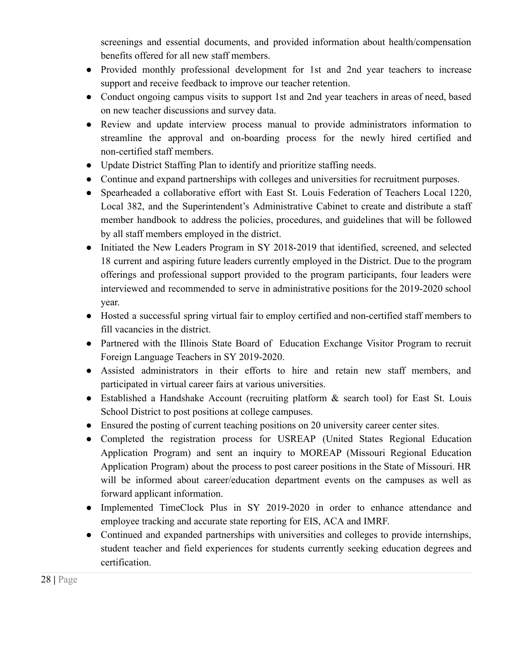screenings and essential documents, and provided information about health/compensation benefits offered for all new staff members.

- Provided monthly professional development for 1st and 2nd year teachers to increase support and receive feedback to improve our teacher retention.
- Conduct ongoing campus visits to support 1st and 2nd year teachers in areas of need, based on new teacher discussions and survey data.
- Review and update interview process manual to provide administrators information to streamline the approval and on-boarding process for the newly hired certified and non-certified staff members.
- Update District Staffing Plan to identify and prioritize staffing needs.
- Continue and expand partnerships with colleges and universities for recruitment purposes.
- Spearheaded a collaborative effort with East St. Louis Federation of Teachers Local 1220, Local 382, and the Superintendent's Administrative Cabinet to create and distribute a staff member handbook to address the policies, procedures, and guidelines that will be followed by all staff members employed in the district.
- Initiated the New Leaders Program in SY 2018-2019 that identified, screened, and selected 18 current and aspiring future leaders currently employed in the District. Due to the program offerings and professional support provided to the program participants, four leaders were interviewed and recommended to serve in administrative positions for the 2019-2020 school year.
- Hosted a successful spring virtual fair to employ certified and non-certified staff members to fill vacancies in the district.
- Partnered with the Illinois State Board of Education Exchange Visitor Program to recruit Foreign Language Teachers in SY 2019-2020.
- Assisted administrators in their efforts to hire and retain new staff members, and participated in virtual career fairs at various universities.
- Established a Handshake Account (recruiting platform & search tool) for East St. Louis School District to post positions at college campuses.
- Ensured the posting of current teaching positions on 20 university career center sites.
- Completed the registration process for USREAP (United States Regional Education Application Program) and sent an inquiry to MOREAP (Missouri Regional Education Application Program) about the process to post career positions in the State of Missouri. HR will be informed about career/education department events on the campuses as well as forward applicant information.
- Implemented TimeClock Plus in SY 2019-2020 in order to enhance attendance and employee tracking and accurate state reporting for EIS, ACA and IMRF.
- Continued and expanded partnerships with universities and colleges to provide internships, student teacher and field experiences for students currently seeking education degrees and certification.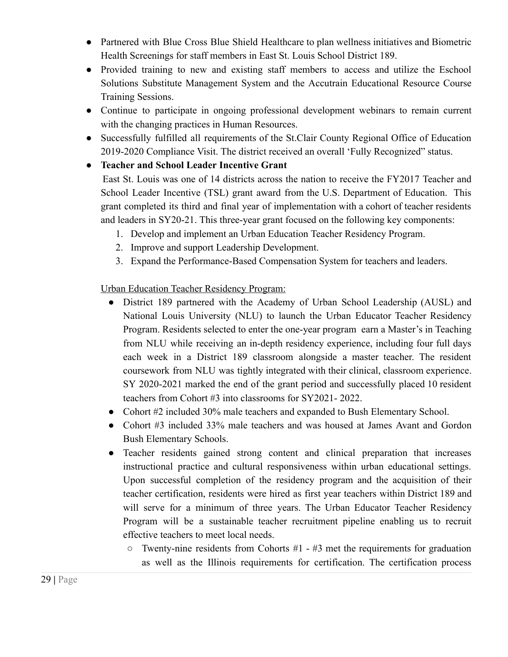- Partnered with Blue Cross Blue Shield Healthcare to plan wellness initiatives and Biometric Health Screenings for staff members in East St. Louis School District 189.
- Provided training to new and existing staff members to access and utilize the Eschool Solutions Substitute Management System and the Accutrain Educational Resource Course Training Sessions.
- Continue to participate in ongoing professional development webinars to remain current with the changing practices in Human Resources.
- Successfully fulfilled all requirements of the St.Clair County Regional Office of Education 2019-2020 Compliance Visit. The district received an overall 'Fully Recognized" status.

#### **● Teacher and School Leader Incentive Grant**

East St. Louis was one of 14 districts across the nation to receive the FY2017 Teacher and School Leader Incentive (TSL) grant award from the U.S. Department of Education. This grant completed its third and final year of implementation with a cohort of teacher residents and leaders in SY20-21. This three-year grant focused on the following key components:

- 1. Develop and implement an Urban Education Teacher Residency Program.
- 2. Improve and support Leadership Development.
- 3. Expand the Performance-Based Compensation System for teachers and leaders.

Urban Education Teacher Residency Program:

- District 189 partnered with the Academy of Urban School Leadership (AUSL) and National Louis University (NLU) to launch the Urban Educator Teacher Residency Program. Residents selected to enter the one-year program earn a Master's in Teaching from NLU while receiving an in-depth residency experience, including four full days each week in a District 189 classroom alongside a master teacher. The resident coursework from NLU was tightly integrated with their clinical, classroom experience. SY 2020-2021 marked the end of the grant period and successfully placed 10 resident teachers from Cohort #3 into classrooms for SY2021- 2022.
- Cohort #2 included 30% male teachers and expanded to Bush Elementary School.
- Cohort #3 included 33% male teachers and was housed at James Avant and Gordon Bush Elementary Schools.
- Teacher residents gained strong content and clinical preparation that increases instructional practice and cultural responsiveness within urban educational settings. Upon successful completion of the residency program and the acquisition of their teacher certification, residents were hired as first year teachers within District 189 and will serve for a minimum of three years. The Urban Educator Teacher Residency Program will be a sustainable teacher recruitment pipeline enabling us to recruit effective teachers to meet local needs.
	- $\circ$  Twenty-nine residents from Cohorts #1 #3 met the requirements for graduation as well as the Illinois requirements for certification. The certification process